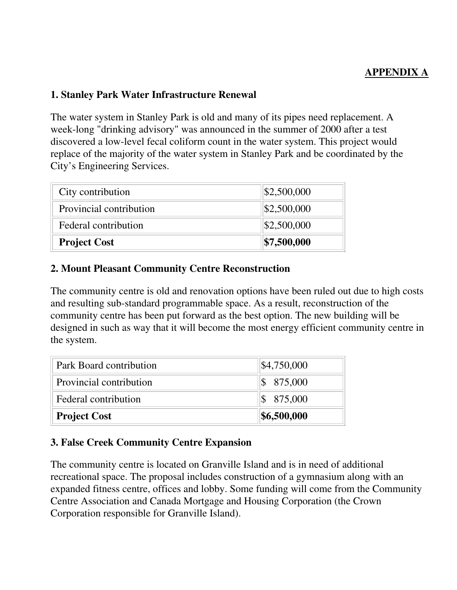# **APPENDIX A**

### **1. Stanley Park Water Infrastructure Renewal**

The water system in Stanley Park is old and many of its pipes need replacement. A week-long "drinking advisory" was announced in the summer of 2000 after a test discovered a low-level fecal coliform count in the water system. This project would replace of the majority of the water system in Stanley Park and be coordinated by the City's Engineering Services.

| City contribution       | \$2,500,000 |
|-------------------------|-------------|
| Provincial contribution | \$2,500,000 |
| Federal contribution    | \$2,500,000 |
| <b>Project Cost</b>     | \$7,500,000 |

#### **2. Mount Pleasant Community Centre Reconstruction**

The community centre is old and renovation options have been ruled out due to high costs and resulting sub-standard programmable space. As a result, reconstruction of the community centre has been put forward as the best option. The new building will be designed in such as way that it will become the most energy efficient community centre in the system.

| Park Board contribution | \$4,750,000             |
|-------------------------|-------------------------|
| Provincial contribution | $\$ 875,000$            |
| Federal contribution    | $\frac{\$}{\$}$ 875,000 |
| <b>Project Cost</b>     | \$6,500,000             |

#### **3. False Creek Community Centre Expansion**

The community centre is located on Granville Island and is in need of additional recreational space. The proposal includes construction of a gymnasium along with an expanded fitness centre, offices and lobby. Some funding will come from the Community Centre Association and Canada Mortgage and Housing Corporation (the Crown Corporation responsible for Granville Island).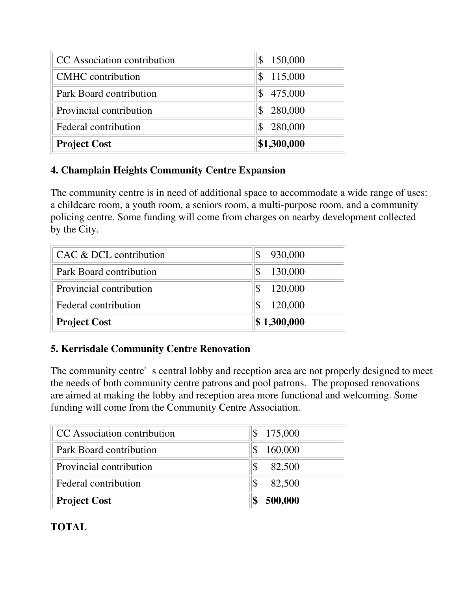| <b>Project Cost</b>         | \$1,300,000   |
|-----------------------------|---------------|
| Federal contribution        | 280,000       |
| Provincial contribution     | 280,000       |
| Park Board contribution     | 475,000<br>\$ |
| <b>CMHC</b> contribution    | 115,000<br>\$ |
| CC Association contribution | 150,000<br>\$ |

# **4. Champlain Heights Community Centre Expansion**

The community centre is in need of additional space to accommodate a wide range of uses: a childcare room, a youth room, a seniors room, a multi-purpose room, and a community policing centre. Some funding will come from charges on nearby development collected by the City.

| CAC & DCL contribution  | 930,000<br>\$ |
|-------------------------|---------------|
| Park Board contribution | 130,000<br>\$ |
| Provincial contribution | 120,000<br>\$ |
| Federal contribution    | 120,000       |
| <b>Project Cost</b>     | \$1,300,000   |

# **5. Kerrisdale Community Centre Renovation**

The community centre's central lobby and reception area are not properly designed to meet the needs of both community centre patrons and pool patrons. The proposed renovations are aimed at making the lobby and reception area more functional and welcoming. Some funding will come from the Community Centre Association.

| CC Association contribution | \$175,000 |
|-----------------------------|-----------|
| Park Board contribution     | 160,000   |
| Provincial contribution     | 82,500    |
| Federal contribution        | 82,500    |
| <b>Project Cost</b>         | 500,000   |

# **TOTAL**